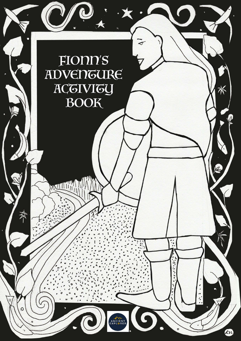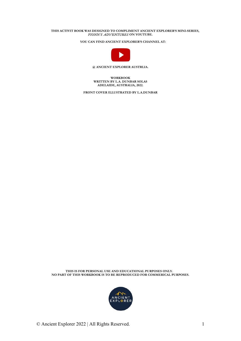#### **THIS ACTIVIT BOOK WAS DESIGNED TO COMPLIMENT ANCIENT EXPLORER'S MINI-SERIES,**  *FIONN'S ADVENTURES* **ON YOUTUBE.**

**YOU CAN FIND ANCIENT EXPLORER'S CHANNEL AT:**



**@ ANCIENT EXPLORER AUSTRLIA.**

**WORKBOOK WRITTEN BY L.A. DUNBAR SOLAS ADELAIDE, AUSTRALIA, 2022.**

**FRONT COVER ILLUSTRATED BY L.A.DUNBAR**

**THIS IS FOR PERSONAL USE AND EDUCATIONAL PURPOSES ONLY. NO PART OF THIS WORKBOOK IS TO BE REPRODUCED FOR COMMERICAL PURPOSES.**

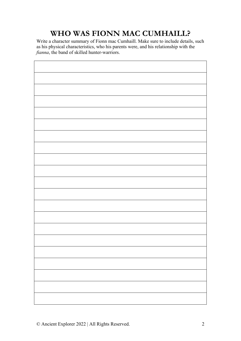# **WHO WAS FIONN MAC CUMHAILL?**

Write a character summary of Fionn mac Cumhaill. Make sure to include details, such as his physical characteristics, who his parents were, and his relationship with the *fianna*, the band of skilled hunter-warriors.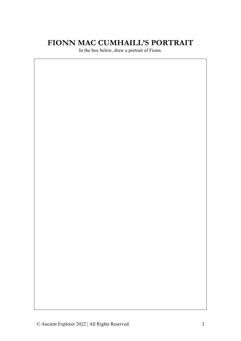#### **FIONN MAC CUMHAILL'S PORTRAIT**

In the box below, draw a portrait of Fionn.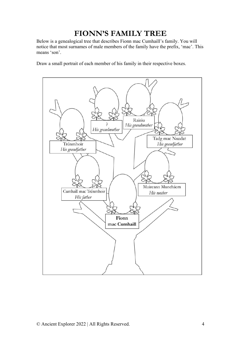# **FIONN'S FAMILY TREE**

Below is a genealogical tree that describes Fionn mac Cumhaill's family. You will notice that most surnames of male members of the family have the prefix, 'mac'. This means 'son'.

Draw a small portrait of each member of his family in their respective boxes.

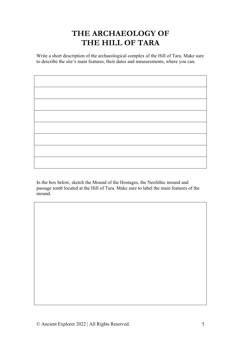# **THE ARCHAEOLOGY OF THE HILL OF TARA**

Write a short description of the archaeological complex of the Hill of Tara. Make sure to describe the site's main features, their dates and measurements, where you can.

In the box below, sketch the Mound of the Hostages, the Neolithic mound and passage tomb located at the Hill of Tara. Make sure to label the main features of the mound.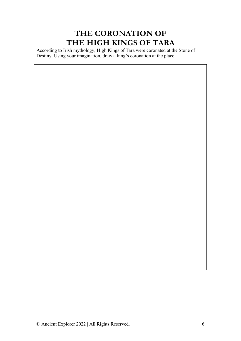#### **THE CORONATION OF THE HIGH KINGS OF TARA**

According to Irish mythology, High Kings of Tara were coronated at the Stone of Destiny. Using your imagination, draw a king's coronation at the place.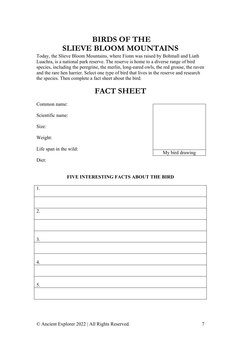# **BIRDS OF THE SLIEVE BLOOM MOUNTAINS**

Today, the Slieve Bloom Mountains, where Fionn was raised by Bohmall and Liath Luachra, is a national park reserve. The reserve is home to a diverse range of bird species, including the peregrine, the merlin, long-eared owls, the red grouse, the raven and the rare hen harrier. Select one type of bird that lives in the reserve and research the species. Then complete a fact sheet about the bird.

# **FACT SHEET**

Common name:

Scientific name:

Size:

Weight:

Life span in the wild:

Diet:

| $\mathbf{1}$ .<br>2.<br>3.<br>4.<br>5. |  |  |  |
|----------------------------------------|--|--|--|
|                                        |  |  |  |
|                                        |  |  |  |
|                                        |  |  |  |
|                                        |  |  |  |
|                                        |  |  |  |
|                                        |  |  |  |
|                                        |  |  |  |
|                                        |  |  |  |
|                                        |  |  |  |
|                                        |  |  |  |
|                                        |  |  |  |
|                                        |  |  |  |
|                                        |  |  |  |
|                                        |  |  |  |
|                                        |  |  |  |
|                                        |  |  |  |
|                                        |  |  |  |
|                                        |  |  |  |
|                                        |  |  |  |
|                                        |  |  |  |

#### **FIVE INTERESTING FACTS ABOUT THE BIRD**

My bird drawing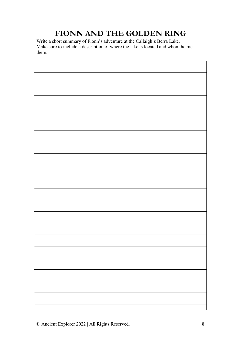# **FIONN AND THE GOLDEN RING**

Write a short summary of Fionn's adventure at the Callaigh's Berra Lake. Make sure to include a description of where the lake is located and whom he met there.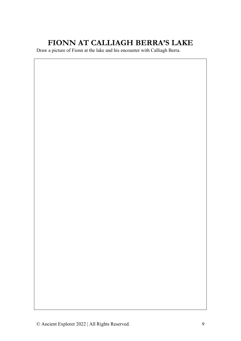## **FIONN AT CALLIAGH BERRA'S LAKE**

Draw a picture of Fionn at the lake and his encounter with Calliagh Berra.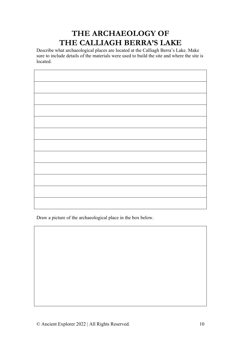#### **THE ARCHAEOLOGY OF THE CALLIAGH BERRA'S LAKE**

Describe what archaeological places are located at the Calliagh Berra's Lake. Make sure to include details of the materials were used to build the site and where the site is located.

Draw a picture of the archaeological place in the box below.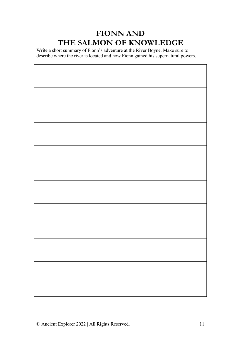#### **FIONN AND THE SALMON OF KNOWLEDGE**

Write a short summary of Fionn's adventure at the River Boyne. Make sure to describe where the river is located and how Fionn gained his supernatural powers.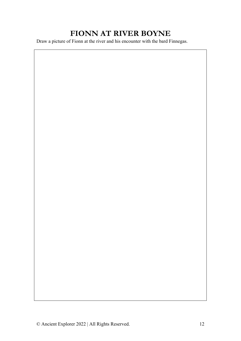# **FIONN AT RIVER BOYNE**

Draw a picture of Fionn at the river and his encounter with the bard Finnegas.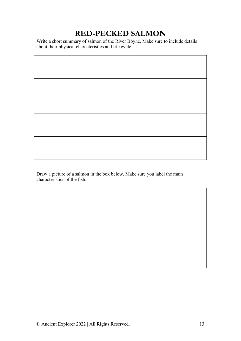# **RED-PECKED SALMON**

Write a short summary of salmon of the River Boyne. Make sure to include details about their physical characteristics and life cycle.

Draw a picture of a salmon in the box below. Make sure you label the main characteristics of the fish.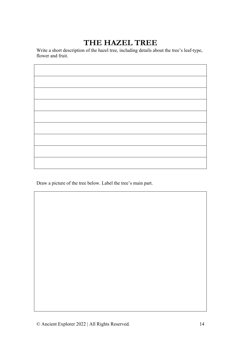# **THE HAZEL TREE**

Write a short description of the hazel tree, including details about the tree's leaf-type, flower and fruit.

Draw a picture of the tree below. Label the tree's main part.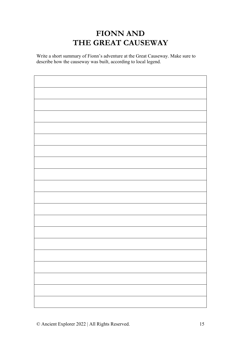#### **FIONN AND THE GREAT CAUSEWAY**

Write a short summary of Fionn's adventure at the Great Causeway. Make sure to describe how the causeway was built, according to local legend.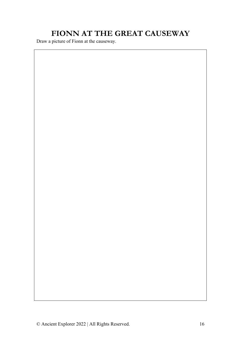#### **FIONN AT THE GREAT CAUSEWAY**

Draw a picture of Fionn at the causeway.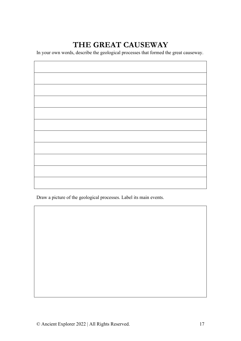# **THE GREAT CAUSEWAY**

In your own words, describe the geological processes that formed the great causeway.

Draw a picture of the geological processes. Label its main events.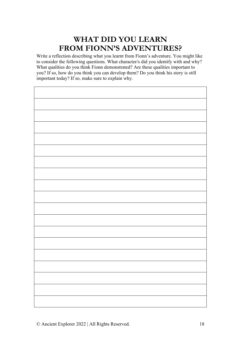#### **WHAT DID YOU LEARN FROM FIONN'S ADVENTURES?**

Write a reflection describing what you learnt from Fionn's adventure. You might like to consider the following questions. What character/s did you identify with and why? What qualities do you think Fionn demonstrated? Are these qualities important to you? If so, how do you think you can develop them? Do you think his story is still important today? If so, make sure to explain why.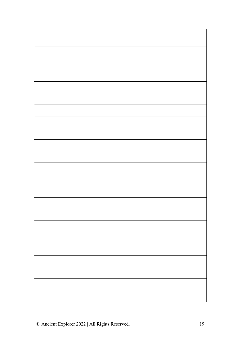